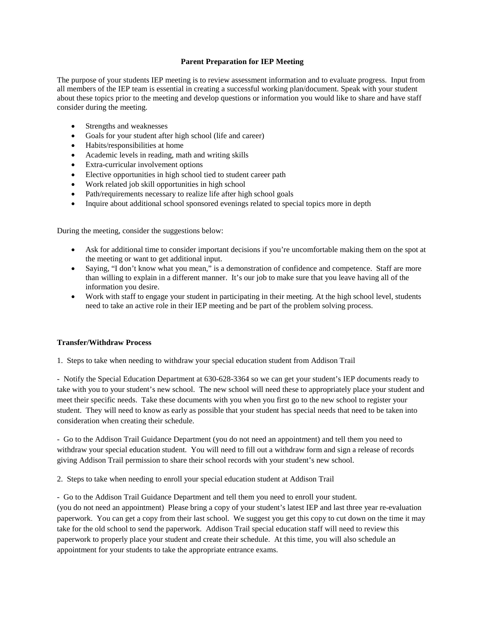## **Parent Preparation for IEP Meeting**

The purpose of your students IEP meeting is to review assessment information and to evaluate progress. Input from all members of the IEP team is essential in creating a successful working plan/document. Speak with your student about these topics prior to the meeting and develop questions or information you would like to share and have staff consider during the meeting.

- Strengths and weaknesses
- Goals for your student after high school (life and career)
- Habits/responsibilities at home
- Academic levels in reading, math and writing skills
- Extra-curricular involvement options
- Elective opportunities in high school tied to student career path
- Work related job skill opportunities in high school
- Path/requirements necessary to realize life after high school goals
- Inquire about additional school sponsored evenings related to special topics more in depth

During the meeting, consider the suggestions below:

- Ask for additional time to consider important decisions if you're uncomfortable making them on the spot at the meeting or want to get additional input.
- Saying, "I don't know what you mean," is a demonstration of confidence and competence. Staff are more than willing to explain in a different manner. It's our job to make sure that you leave having all of the information you desire.
- Work with staff to engage your student in participating in their meeting. At the high school level, students need to take an active role in their IEP meeting and be part of the problem solving process.

#### **Transfer/Withdraw Process**

1. Steps to take when needing to withdraw your special education student from Addison Trail

- Notify the Special Education Department at 630-628-3364 so we can get your student's IEP documents ready to take with you to your student's new school. The new school will need these to appropriately place your student and meet their specific needs. Take these documents with you when you first go to the new school to register your student. They will need to know as early as possible that your student has special needs that need to be taken into consideration when creating their schedule.

- Go to the Addison Trail Guidance Department (you do not need an appointment) and tell them you need to withdraw your special education student. You will need to fill out a withdraw form and sign a release of records giving Addison Trail permission to share their school records with your student's new school.

2. Steps to take when needing to enroll your special education student at Addison Trail

- Go to the Addison Trail Guidance Department and tell them you need to enroll your student. (you do not need an appointment) Please bring a copy of your student's latest IEP and last three year re-evaluation paperwork. You can get a copy from their last school. We suggest you get this copy to cut down on the time it may take for the old school to send the paperwork. Addison Trail special education staff will need to review this paperwork to properly place your student and create their schedule. At this time, you will also schedule an appointment for your students to take the appropriate entrance exams.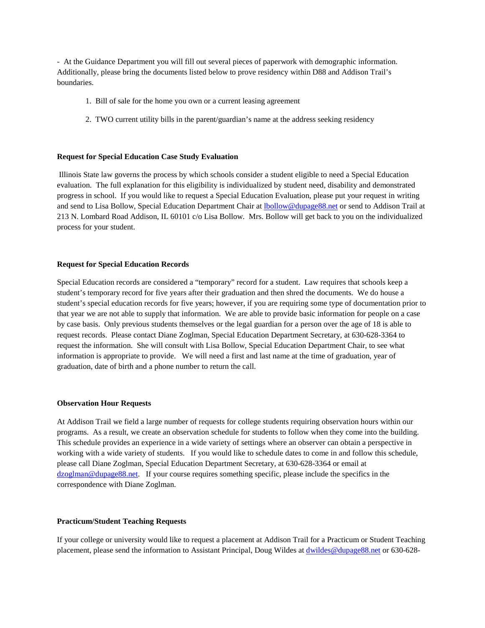- At the Guidance Department you will fill out several pieces of paperwork with demographic information. Additionally, please bring the documents listed below to prove residency within D88 and Addison Trail's boundaries.

- 1. Bill of sale for the home you own or a current leasing agreement
- 2. TWO current utility bills in the parent/guardian's name at the address seeking residency

### **Request for Special Education Case Study Evaluation**

Illinois State law governs the process by which schools consider a student eligible to need a Special Education evaluation. The full explanation for this eligibility is individualized by student need, disability and demonstrated progress in school. If you would like to request a Special Education Evaluation, please put your request in writing and send to Lisa Bollow, Special Education Department Chair at [lbollow@dupage88.net](mailto:lbollow@dupage88.net) or send to Addison Trail at 213 N. Lombard Road Addison, IL 60101 c/o Lisa Bollow. Mrs. Bollow will get back to you on the individualized process for your student.

### **Request for Special Education Records**

Special Education records are considered a "temporary" record for a student. Law requires that schools keep a student's temporary record for five years after their graduation and then shred the documents. We do house a student's special education records for five years; however, if you are requiring some type of documentation prior to that year we are not able to supply that information. We are able to provide basic information for people on a case by case basis. Only previous students themselves or the legal guardian for a person over the age of 18 is able to request records. Please contact Diane Zoglman, Special Education Department Secretary, at 630-628-3364 to request the information. She will consult with Lisa Bollow, Special Education Department Chair, to see what information is appropriate to provide. We will need a first and last name at the time of graduation, year of graduation, date of birth and a phone number to return the call.

#### **Observation Hour Requests**

At Addison Trail we field a large number of requests for college students requiring observation hours within our programs. As a result, we create an observation schedule for students to follow when they come into the building. This schedule provides an experience in a wide variety of settings where an observer can obtain a perspective in working with a wide variety of students. If you would like to schedule dates to come in and follow this schedule, please call Diane Zoglman, Special Education Department Secretary, at 630-628-3364 or email at [dzoglman@dupage88.net.](mailto:dzoglman@dupage88.net) If your course requires something specific, please include the specifics in the correspondence with Diane Zoglman.

## **Practicum/Student Teaching Requests**

If your college or university would like to request a placement at Addison Trail for a Practicum or Student Teaching placement, please send the information to Assistant Principal, Doug Wildes a[t dwildes@dupage88.net](mailto:dwildes@dupage88.net) or 630-628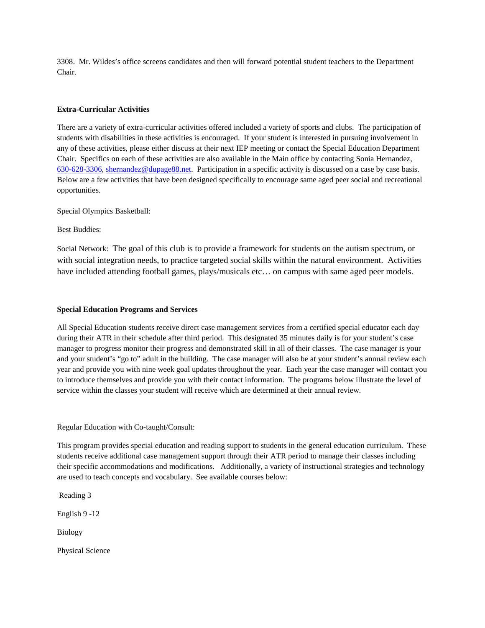3308. Mr. Wildes's office screens candidates and then will forward potential student teachers to the Department Chair.

## **Extra-Curricular Activities**

There are a variety of extra-curricular activities offered included a variety of sports and clubs. The participation of students with disabilities in these activities is encouraged. If your student is interested in pursuing involvement in any of these activities, please either discuss at their next IEP meeting or contact the Special Education Department Chair. Specifics on each of these activities are also available in the Main office by contacting Sonia Hernandez, [630-628-3306,](tel:6306283306) [shernandez@dupage88.net.](mailto:shernandez@dupage88.net) Participation in a specific activity is discussed on a case by case basis. Below are a few activities that have been designed specifically to encourage same aged peer social and recreational opportunities.

Special Olympics Basketball:

Best Buddies:

Social Network: The goal of this club is to provide a framework for students on the autism spectrum, or with social integration needs, to practice targeted social skills within the natural environment. Activities have included attending football games, plays/musicals etc... on campus with same aged peer models.

## **Special Education Programs and Services**

All Special Education students receive direct case management services from a certified special educator each day during their ATR in their schedule after third period. This designated 35 minutes daily is for your student's case manager to progress monitor their progress and demonstrated skill in all of their classes. The case manager is your and your student's "go to" adult in the building. The case manager will also be at your student's annual review each year and provide you with nine week goal updates throughout the year. Each year the case manager will contact you to introduce themselves and provide you with their contact information. The programs below illustrate the level of service within the classes your student will receive which are determined at their annual review.

Regular Education with Co-taught/Consult:

This program provides special education and reading support to students in the general education curriculum. These students receive additional case management support through their ATR period to manage their classes including their specific accommodations and modifications. Additionally, a variety of instructional strategies and technology are used to teach concepts and vocabulary. See available courses below:

Reading 3

English 9 -12

Biology

Physical Science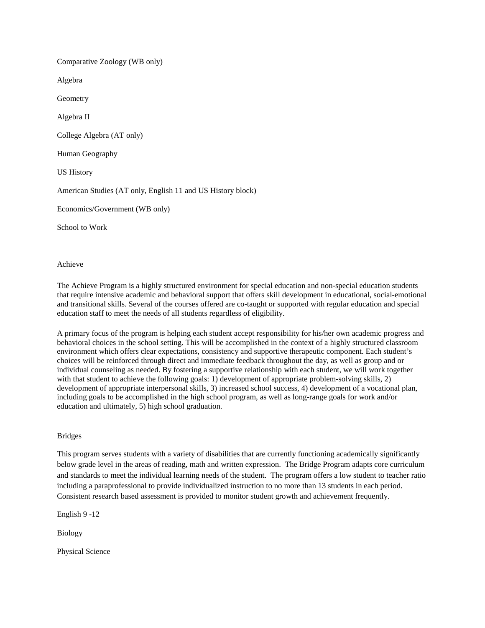Comparative Zoology (WB only) Algebra Geometry Algebra II College Algebra (AT only) Human Geography US History American Studies (AT only, English 11 and US History block) Economics/Government (WB only) School to Work

Achieve

The Achieve Program is a highly structured environment for special education and non-special education students that require intensive academic and behavioral support that offers skill development in educational, social-emotional and transitional skills. Several of the courses offered are co-taught or supported with regular education and special education staff to meet the needs of all students regardless of eligibility.

A primary focus of the program is helping each student accept responsibility for his/her own academic progress and behavioral choices in the school setting. This will be accomplished in the context of a highly structured classroom environment which offers clear expectations, consistency and supportive therapeutic component. Each student's choices will be reinforced through direct and immediate feedback throughout the day, as well as group and or individual counseling as needed. By fostering a supportive relationship with each student, we will work together with that student to achieve the following goals: 1) development of appropriate problem-solving skills, 2) development of appropriate interpersonal skills, 3) increased school success, 4) development of a vocational plan, including goals to be accomplished in the high school program, as well as long-range goals for work and/or education and ultimately, 5) high school graduation.

## Bridges

This program serves students with a variety of disabilities that are currently functioning academically significantly below grade level in the areas of reading, math and written expression. The Bridge Program adapts core curriculum and standards to meet the individual learning needs of the student. The program offers a low student to teacher ratio including a paraprofessional to provide individualized instruction to no more than 13 students in each period. Consistent research based assessment is provided to monitor student growth and achievement frequently.

English 9 -12

Biology

Physical Science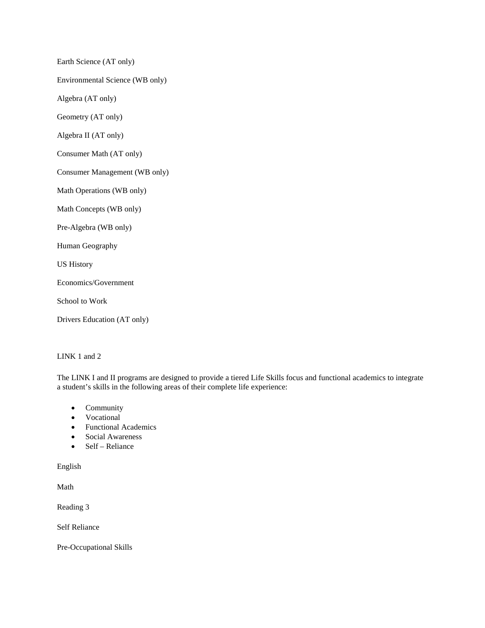Earth Science (AT only)

Environmental Science (WB only)

Algebra (AT only)

Geometry (AT only)

Algebra II (AT only)

Consumer Math (AT only)

Consumer Management (WB only)

Math Operations (WB only)

Math Concepts (WB only)

Pre-Algebra (WB only)

Human Geography

US History

Economics/Government

School to Work

Drivers Education (AT only)

LINK 1 and 2

The LINK I and II programs are designed to provide a tiered Life Skills focus and functional academics to integrate a student's skills in the following areas of their complete life experience:

- Community
- Vocational
- Functional Academics
- Social Awareness
- Self Reliance

English

Math

Reading 3

Self Reliance

Pre-Occupational Skills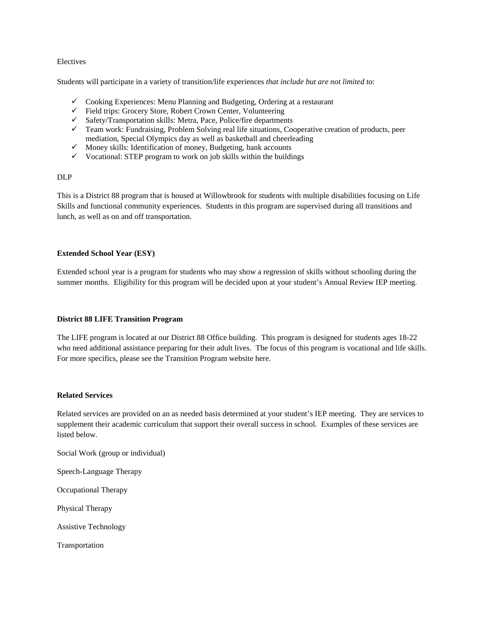### Electives

Students will participate in a variety of transition/life experiences *that include but are not limited to*:

- $\checkmark$  Cooking Experiences: Menu Planning and Budgeting, Ordering at a restaurant
- $\checkmark$  Field trips: Grocery Store, Robert Crown Center, Volunteering
- $\checkmark$  Safety/Transportation skills: Metra, Pace, Police/fire departments
- Team work: Fundraising, Problem Solving real life situations, Cooperative creation of products, peer mediation, Special Olympics day as well as basketball and cheerleading
- $\checkmark$  Money skills: Identification of money, Budgeting, bank accounts
- $\checkmark$  Vocational: STEP program to work on job skills within the buildings

### DLP

This is a District 88 program that is housed at Willowbrook for students with multiple disabilities focusing on Life Skills and functional community experiences. Students in this program are supervised during all transitions and lunch, as well as on and off transportation.

## **Extended School Year (ESY)**

Extended school year is a program for students who may show a regression of skills without schooling during the summer months. Eligibility for this program will be decided upon at your student's Annual Review IEP meeting.

### **District 88 LIFE Transition Program**

The LIFE program is located at our District 88 Office building. This program is designed for students ages 18-22 who need additional assistance preparing for their adult lives. The focus of this program is vocational and life skills. For more specifics, please see the Transition Program website here.

#### **Related Services**

Related services are provided on an as needed basis determined at your student's IEP meeting. They are services to supplement their academic curriculum that support their overall success in school. Examples of these services are listed below.

Social Work (group or individual)

Speech-Language Therapy

Occupational Therapy

Physical Therapy

Assistive Technology

Transportation